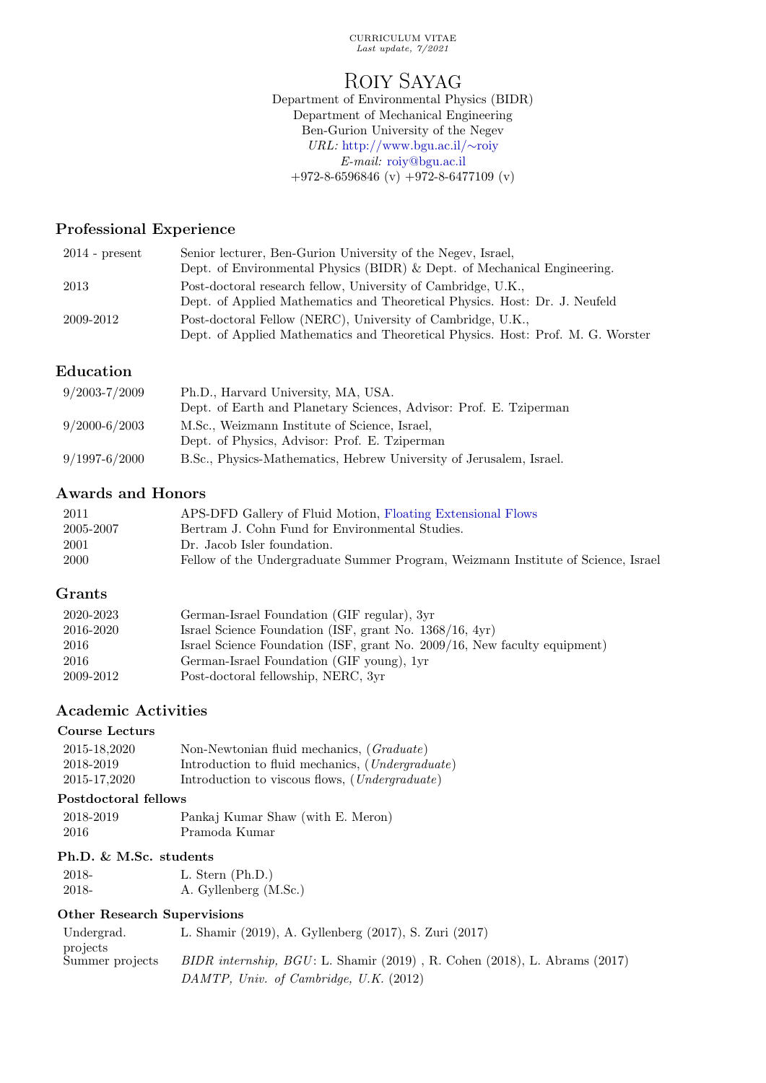CURRICULUM VITAE Last update, 7/2021

# ROIY SAYAG

Department of Environmental Physics (BIDR) Department of Mechanical Engineering Ben-Gurion University of the Negev URL: [http://www.bgu.ac.il/](http://www.bgu.ac.il/~roiy)∼roiy E-mail: [roiy@bgu.ac.il](mailto:roiy@bgu.ac.il)  $+972-8-6596846$  (v)  $+972-8-6477109$  (v)

# Professional Experience

| $2014$ - present | Senior lecturer, Ben-Gurion University of the Negev, Israel,                    |
|------------------|---------------------------------------------------------------------------------|
|                  | Dept. of Environmental Physics (BIDR) $\&$ Dept. of Mechanical Engineering.     |
| 2013             | Post-doctoral research fellow, University of Cambridge, U.K.,                   |
|                  | Dept. of Applied Mathematics and Theoretical Physics. Host: Dr. J. Neufeld      |
| 2009-2012        | Post-doctoral Fellow (NERC), University of Cambridge, U.K.,                     |
|                  | Dept. of Applied Mathematics and Theoretical Physics. Host: Prof. M. G. Worster |

# Education

| $9/2003 - 7/2009$ | Ph.D., Harvard University, MA, USA.                                 |
|-------------------|---------------------------------------------------------------------|
|                   | Dept. of Earth and Planetary Sciences, Advisor: Prof. E. Tziperman  |
| $9/2000 - 6/2003$ | M.Sc., Weizmann Institute of Science, Israel,                       |
|                   | Dept. of Physics, Advisor: Prof. E. Tziperman                       |
| $9/1997 - 6/2000$ | B.Sc., Physics-Mathematics, Hebrew University of Jerusalem, Israel. |

# Awards and Honors

| 2011      | APS-DFD Gallery of Fluid Motion, Floating Extensional Flows                       |
|-----------|-----------------------------------------------------------------------------------|
| 2005-2007 | Bertram J. Cohn Fund for Environmental Studies.                                   |
| 2001      | Dr. Jacob Isler foundation.                                                       |
| 2000      | Fellow of the Undergraduate Summer Program, Weizmann Institute of Science, Israel |

# Grants

| 2020-2023 | German-Israel Foundation (GIF regular), 3yr                               |
|-----------|---------------------------------------------------------------------------|
| 2016-2020 | Israel Science Foundation (ISF, grant No. 1368/16, 4yr)                   |
| 2016      | Israel Science Foundation (ISF, grant No. 2009/16, New faculty equipment) |
| 2016      | German-Israel Foundation (GIF young), 1yr                                 |
| 2009-2012 | Post-doctoral fellowship, NERC, 3yr                                       |

# Academic Activities

# Course Lecturs

| 2015-18.2020 | Non-Newtonian fluid mechanics, (Graduate)                 |
|--------------|-----------------------------------------------------------|
| 2018-2019    | Introduction to fluid mechanics, ( <i>Undergraduate</i> ) |
| 2015-17.2020 | Introduction to viscous flows, ( <i>Undergraduate</i> )   |

# Postdoctoral fellows

| 2018-2019 | Pankaj Kumar Shaw (with E. Meron) |
|-----------|-----------------------------------|
| -2016     | Pramoda Kumar                     |

# Ph.D. & M.Sc. students

| 2018- | L. Stern $(Ph.D.)$    |
|-------|-----------------------|
| 2018- | A. Gyllenberg (M.Sc.) |

# Other Research Supervisions

| Undergrad.      | L. Shamir (2019), A. Gyllenberg (2017), S. Zuri (2017)                         |
|-----------------|--------------------------------------------------------------------------------|
| projects        |                                                                                |
| Summer projects | $BIDR$ internship, $BGU$ : L. Shamir (2019), R. Cohen (2018), L. Abrams (2017) |
|                 | DAMTP, Univ. of Cambridge, U.K. $(2012)$                                       |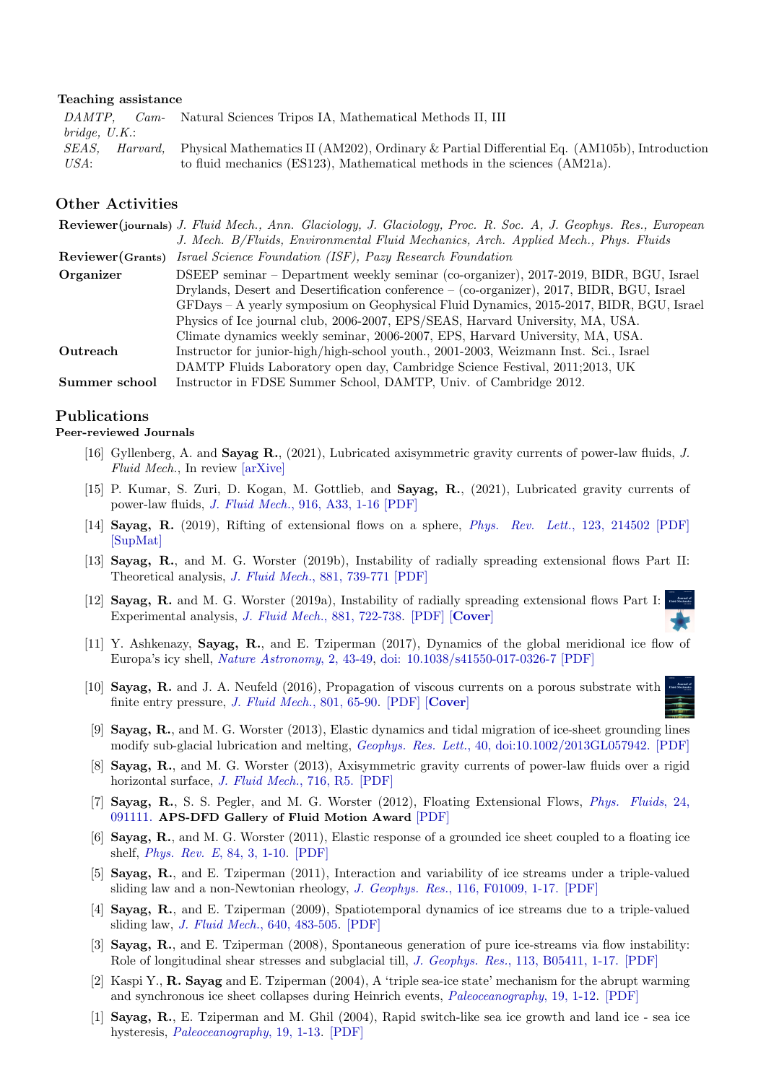#### Teaching assistance

DAMTP, Cambridge, U.K.: Natural Sciences Tripos IA, Mathematical Methods II, III SEAS, Harvard, USA: Physical Mathematics II (AM202), Ordinary & Partial Differential Eq. (AM105b), Introduction to fluid mechanics (ES123), Mathematical methods in the sciences (AM21a).

### Other Activities

|                   | <b>Reviewer(journals)</b> J. Fluid Mech., Ann. Glaciology, J. Glaciology, Proc. R. Soc. A, J. Geophys. Res., European |
|-------------------|-----------------------------------------------------------------------------------------------------------------------|
|                   | J. Mech. B/Fluids, Environmental Fluid Mechanics, Arch. Applied Mech., Phys. Fluids                                   |
| Reviewer (Grants) | Israel Science Foundation (ISF), Pazy Research Foundation                                                             |
| Organizer         | DSEEP seminar – Department weekly seminar (co-organizer), 2017-2019, BIDR, BGU, Israel                                |
|                   | Drylands, Desert and Desertification conference – (co-organizer), 2017, BIDR, BGU, Israel                             |
|                   | GFDays - A yearly symposium on Geophysical Fluid Dynamics, 2015-2017, BIDR, BGU, Israel                               |
|                   | Physics of Ice journal club, 2006-2007, EPS/SEAS, Harvard University, MA, USA.                                        |
|                   | Climate dynamics weekly seminar, 2006-2007, EPS, Harvard University, MA, USA.                                         |
| Outreach          | Instructor for junior-high/high-school youth., 2001-2003, Weizmann Inst. Sci., Israel                                 |
|                   | DAMTP Fluids Laboratory open day, Cambridge Science Festival, 2011;2013, UK                                           |
| Summer school     | Instructor in FDSE Summer School, DAMTP, Univ. of Cambridge 2012.                                                     |

### Publications

#### Peer-reviewed Journals

- [16] Gyllenberg, A. and Sayag R., (2021), Lubricated axisymmetric gravity currents of power-law fluids, J. Fluid Mech., In review [\[arXive\]](https://arxiv.org/abs/2107.01586)
- [15] P. Kumar, S. Zuri, D. Kogan, M. Gottlieb, and Sayag, R., (2021), Lubricated gravity currents of power-law fluids, J. Fluid Mech.[, 916, A33, 1-16](https://doi.org/10.1017/jfm.2021.240) [\[PDF\]](http://www.bgu.ac.il/~roiy/publications/015-KZKGS2020.pdf)
- [14] Sayag, R. (2019), Rifting of extensional flows on a sphere, [Phys. Rev. Lett.](https://journals.aps.org/prl/abstract/10.1103/PhysRevLett.123.214502), 123, 214502 [\[PDF\]](http://www.bgu.ac.il/~roiy/publications/014-S2019PRL.pdf) [\[SupMat\]](http://www.bgu.ac.il/~roiy/publications/014-S2019PRL-SM.pdf)
- [13] Sayag, R., and M. G. Worster (2019b), Instability of radially spreading extensional flows Part II: Theoretical analysis, [J. Fluid Mech.](http://dx.doi.org/10.1017/jfm.2019.778), 881, 739-771 [\[PDF\]](http://www.bgu.ac.il/~roiy/publications/013-SW2019b.pdf)
- [12] Sayag, R. and M. G. Worster (2019a), Instability of radially spreading extensional flows Part I: Experimental analysis, [J. Fluid Mech.](http://dx.doi.org/10.1017/jfm.2019.777), 881, 722-738. [\[PDF\]](http://www.bgu.ac.il/~roiy/publications/012-SW2019a.pdf) [[Cover](https://www.cambridge.org/core/services/aop-cambridge-core/content/view/8F4CBDF54A46EF1CB9C1976CADE65012/S0022112019008826a.pdf/flm_volume_881_cover_and_front_matter.pdf)]
- [11] Y. Ashkenazy, Sayag, R., and E. Tziperman (2017), Dynamics of the global meridional ice flow of Europa's icy shell, [Nature Astronomy](https://dx.doi.org/10.1038/s41550-017-0326-7), 2, 43-49, [doi: 10.1038/s41550-017-0326-7](http://dx.doi.org/10.1038/s41550-017-0326-7) [\[PDF\]](http://www.bgu.ac.il/~roiy/publications/011-AST2017.pdf)
- [10] Sayag, R. and J. A. Neufeld (2016), Propagation of viscous currents on a porous substrate with finite entry pressure, [J. Fluid Mech.](http://journals.cambridge.org/action/displayAbstract?fromPage=online&aid=10413560&fileId=S0022112016004122&utm_source=New_Article&utm_medium=Email&utm_campaign=FLM), 801, 65-90. [\[PDF\]](http://www.bgu.ac.il/~roiy/publications/010-SN2016.pdf) [[Cover](https://www.cambridge.org/core/services/aop-cambridge-core/content/view/F04BC0C5068F8FE9311EF3033A12DA05/S0022112016004997a.pdf/flm-volume-801-cover-and-front-matter.pdf)]
- [9] Sayag, R., and M. G. Worster (2013), Elastic dynamics and tidal migration of ice-sheet grounding lines modify sub-glacial lubrication and melting, Geophys. Res. Lett.[, 40, doi:10.1002/2013GL057942.](http://onlinelibrary.wiley.com/doi/10.1002/2013GL057942/abstract) [\[PDF\]](http://www.bgu.ac.il/~roiy/publications/009-SW2013b.pdf)
- [8] Sayag, R., and M. G. Worster (2013), Axisymmetric gravity currents of power-law fluids over a rigid horizontal surface, [J. Fluid Mech.](http://journals.cambridge.org/action/displayAbstract?fromPage=online&aid=8826173&fulltextType=RA&fileId=S0022112012005459), 716, R5. [\[PDF\]](http://www.bgu.ac.il/~roiy/publications/008-SW2013a.pdf)
- [7] Sayag, R., S. S. Pegler, and M. G. Worster (2012), Floating Extensional Flows, [Phys. Fluids](http://dx.doi.org/10.1063/1.4747184), 24, [091111.](http://dx.doi.org/10.1063/1.4747184) APS-DFD Gallery of Fluid Motion Award [\[PDF\]](http://www.bgu.ac.il/~roiy/publications/007-SPW2012.pdf)
- [6] Sayag, R., and M. G. Worster (2011), Elastic response of a grounded ice sheet coupled to a floating ice shelf, [Phys. Rev. E](http://dx.doi.org/10.1103/PhysRevE.84.036111), 84, 3, 1-10. [\[PDF\]](http://www.bgu.ac.il/~roiy/publications/006-SW2011.pdf)
- [5] Sayag, R., and E. Tziperman (2011), Interaction and variability of ice streams under a triple-valued sliding law and a non-Newtonian rheology, J. Geophys. Res.[, 116, F01009, 1-17.](http://dx.doi.org/10.1029/2010JF001839) [\[PDF\]](http://www.bgu.ac.il/~roiy/publications/005-ST2011.pdf)
- [4] Sayag, R., and E. Tziperman (2009), Spatiotemporal dynamics of ice streams due to a triple-valued sliding law, [J. Fluid Mech.](http://dx.doi.org/10.1017/S0022112009991406), 640, 483-505. [\[PDF\]](http://www.bgu.ac.il/~roiy/publications/004-ST2009.pdf)
- [3] Sayag, R., and E. Tziperman (2008), Spontaneous generation of pure ice-streams via flow instability: Role of longitudinal shear stresses and subglacial till, *J. Geophys. Res.*[, 113, B05411, 1-17.](http://dx.doi.org/10.1029/2007JB005228) [\[PDF\]](http://www.bgu.ac.il/~roiy/publications/003-ST2008.pdf)
- [2] Kaspi Y., R. Sayag and E. Tziperman (2004), A 'triple sea-ice state' mechanism for the abrupt warming and synchronous ice sheet collapses during Heinrich events, [Paleoceanography](http://dx.doi.org/10.1029/2004PA001009), 19, 1-12. [\[PDF\]](http://www.bgu.ac.il/~roiy/publications/002-KST2004.pdf)
- [1] Sayag, R., E. Tziperman and M. Ghil (2004), Rapid switch-like sea ice growth and land ice sea ice hysteresis, [Paleoceanography](http://dx.doi.org/10.1029/2003PA000946), 19, 1-13. [\[PDF\]](http://www.bgu.ac.il/~roiy/publications/001-STG2004.pdf)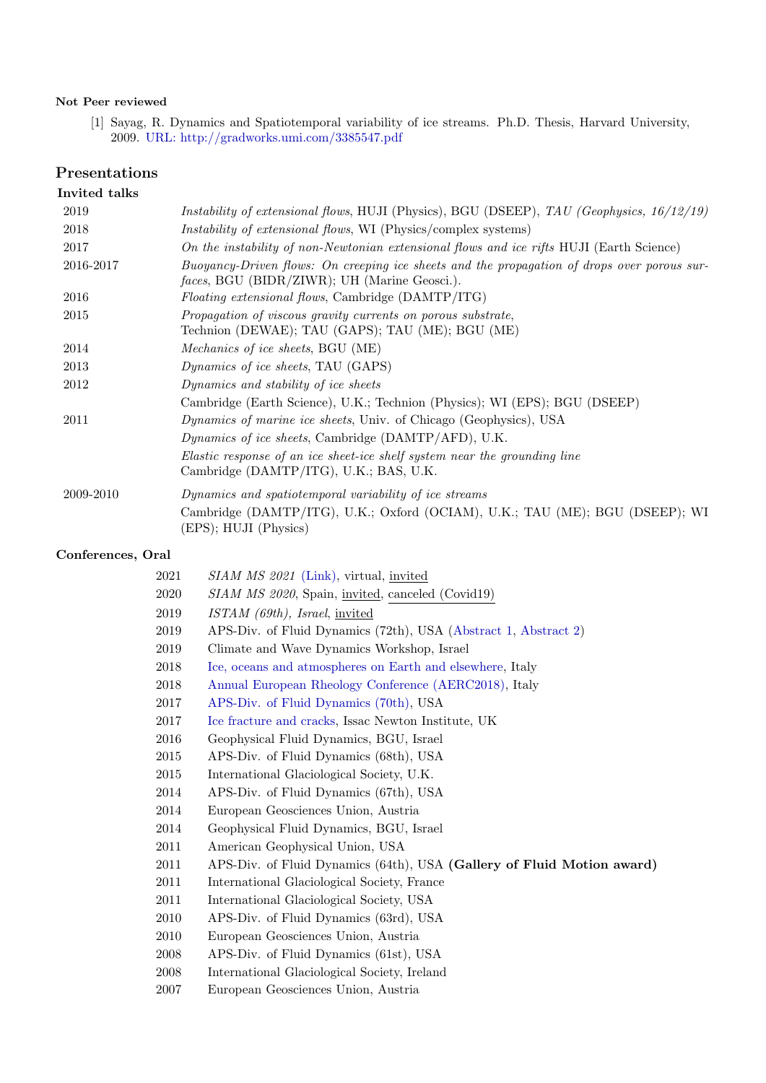### Not Peer reviewed

[1] Sayag, R. Dynamics and Spatiotemporal variability of ice streams. Ph.D. Thesis, Harvard University, 2009. [URL: http://gradworks.umi.com/3385547.pdf](http://gradworks.umi.com/3385547.pdf)

# Presentations

### Invited talks

| 2019      | Instability of extensional flows, HUJI (Physics), BGU (DSEEP), TAU (Geophysics, 16/12/19)                                                           |
|-----------|-----------------------------------------------------------------------------------------------------------------------------------------------------|
| 2018      | <i>Instability of extensional flows,</i> WI (Physics/complex systems)                                                                               |
| 2017      | On the instability of non-Newtonian extensional flows and ice rifts HUJI (Earth Science)                                                            |
| 2016-2017 | Buoyancy-Driven flows: On creeping ice sheets and the propagation of drops over porous sur-<br><i>faces</i> , BGU (BIDR/ZIWR); UH (Marine Geosci.). |
| 2016      | <i>Floating extensional flows, Cambridge (DAMTP/ITG)</i>                                                                                            |
| 2015      | Propagation of viscous gravity currents on porous substrate,<br>Technion (DEWAE); TAU (GAPS); TAU (ME); BGU (ME)                                    |
| 2014      | Mechanics of ice sheets, BGU (ME)                                                                                                                   |
| 2013      | <i>Dynamics of ice sheets, TAU (GAPS)</i>                                                                                                           |
| 2012      | Dynamics and stability of ice sheets                                                                                                                |
|           | Cambridge (Earth Science), U.K.; Technion (Physics); WI (EPS); BGU (DSEEP)                                                                          |
| 2011      | <i>Dynamics of marine ice sheets</i> , Univ. of Chicago (Geophysics), USA                                                                           |
|           | Dynamics of ice sheets, Cambridge (DAMTP/AFD), U.K.                                                                                                 |
|           | Elastic response of an ice sheet-ice shelf system near the grounding line<br>Cambridge (DAMTP/ITG), U.K.; BAS, U.K.                                 |
| 2009-2010 | Dynamics and spatiotemporal variability of ice streams                                                                                              |
|           | Cambridge (DAMTP/ITG), U.K.; Oxford (OCIAM), U.K.; TAU (ME); BGU (DSEEP); WI<br>(EPS); HUJI (Physics)                                               |

# Conferences, Oral

| 2021 | SIAM MS 2021 (Link), virtual, invited                                  |
|------|------------------------------------------------------------------------|
| 2020 | SIAM MS 2020, Spain, invited, canceled (Covid19)                       |
| 2019 | $ISTAM$ (69th), Israel, invited                                        |
| 2019 | APS-Div. of Fluid Dynamics (72th), USA (Abstract 1, Abstract 2)        |
| 2019 | Climate and Wave Dynamics Workshop, Israel                             |
| 2018 | Ice, oceans and atmospheres on Earth and elsewhere, Italy              |
| 2018 | Annual European Rheology Conference (AERC2018), Italy                  |
| 2017 | APS-Div. of Fluid Dynamics (70th), USA                                 |
| 2017 | Ice fracture and cracks, Issac Newton Institute, UK                    |
| 2016 | Geophysical Fluid Dynamics, BGU, Israel                                |
| 2015 | APS-Div. of Fluid Dynamics (68th), USA                                 |
| 2015 | International Glaciological Society, U.K.                              |
| 2014 | APS-Div. of Fluid Dynamics (67th), USA                                 |
| 2014 | European Geosciences Union, Austria                                    |
| 2014 | Geophysical Fluid Dynamics, BGU, Israel                                |
| 2011 | American Geophysical Union, USA                                        |
| 2011 | APS-Div. of Fluid Dynamics (64th), USA (Gallery of Fluid Motion award) |
| 2011 | International Glaciological Society, France                            |
| 2011 | International Glaciological Society, USA                               |
| 2010 | APS-Div. of Fluid Dynamics (63rd), USA                                 |
| 2010 | European Geosciences Union, Austria                                    |
| 2008 | APS-Div. of Fluid Dynamics (61st), USA                                 |
| 2008 | International Glaciological Society, Ireland                           |
| 2007 | European Geosciences Union, Austria                                    |